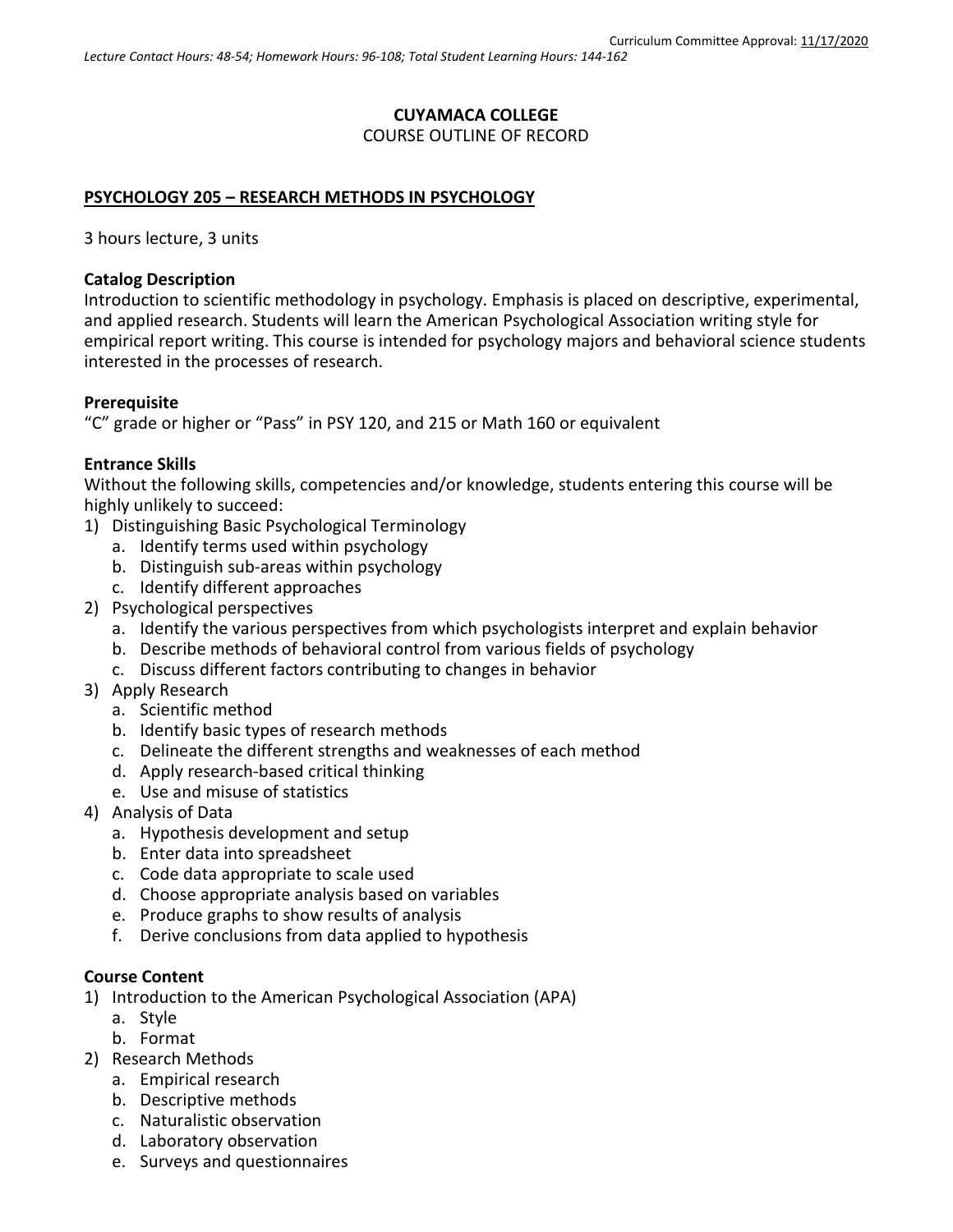# **CUYAMACA COLLEGE** COURSE OUTLINE OF RECORD

#### **PSYCHOLOGY 205 – RESEARCH METHODS IN PSYCHOLOGY**

3 hours lecture, 3 units

#### **Catalog Description**

Introduction to scientific methodology in psychology. Emphasis is placed on descriptive, experimental, and applied research. Students will learn the American Psychological Association writing style for empirical report writing. This course is intended for psychology majors and behavioral science students interested in the processes of research.

#### **Prerequisite**

"C" grade or higher or "Pass" in PSY 120, and 215 or Math 160 or equivalent

#### **Entrance Skills**

Without the following skills, competencies and/or knowledge, students entering this course will be highly unlikely to succeed:

- 1) Distinguishing Basic Psychological Terminology
	- a. Identify terms used within psychology
	- b. Distinguish sub-areas within psychology
	- c. Identify different approaches
- 2) Psychological perspectives
	- a. Identify the various perspectives from which psychologists interpret and explain behavior
	- b. Describe methods of behavioral control from various fields of psychology
	- c. Discuss different factors contributing to changes in behavior
- 3) Apply Research
	- a. Scientific method
	- b. Identify basic types of research methods
	- c. Delineate the different strengths and weaknesses of each method
	- d. Apply research-based critical thinking
	- e. Use and misuse of statistics
- 4) Analysis of Data
	- a. Hypothesis development and setup
	- b. Enter data into spreadsheet
	- c. Code data appropriate to scale used
	- d. Choose appropriate analysis based on variables
	- e. Produce graphs to show results of analysis
	- f. Derive conclusions from data applied to hypothesis

#### **Course Content**

- 1) Introduction to the American Psychological Association (APA)
	- a. Style
	- b. Format
- 2) Research Methods
	- a. Empirical research
	- b. Descriptive methods
	- c. Naturalistic observation
	- d. Laboratory observation
	- e. Surveys and questionnaires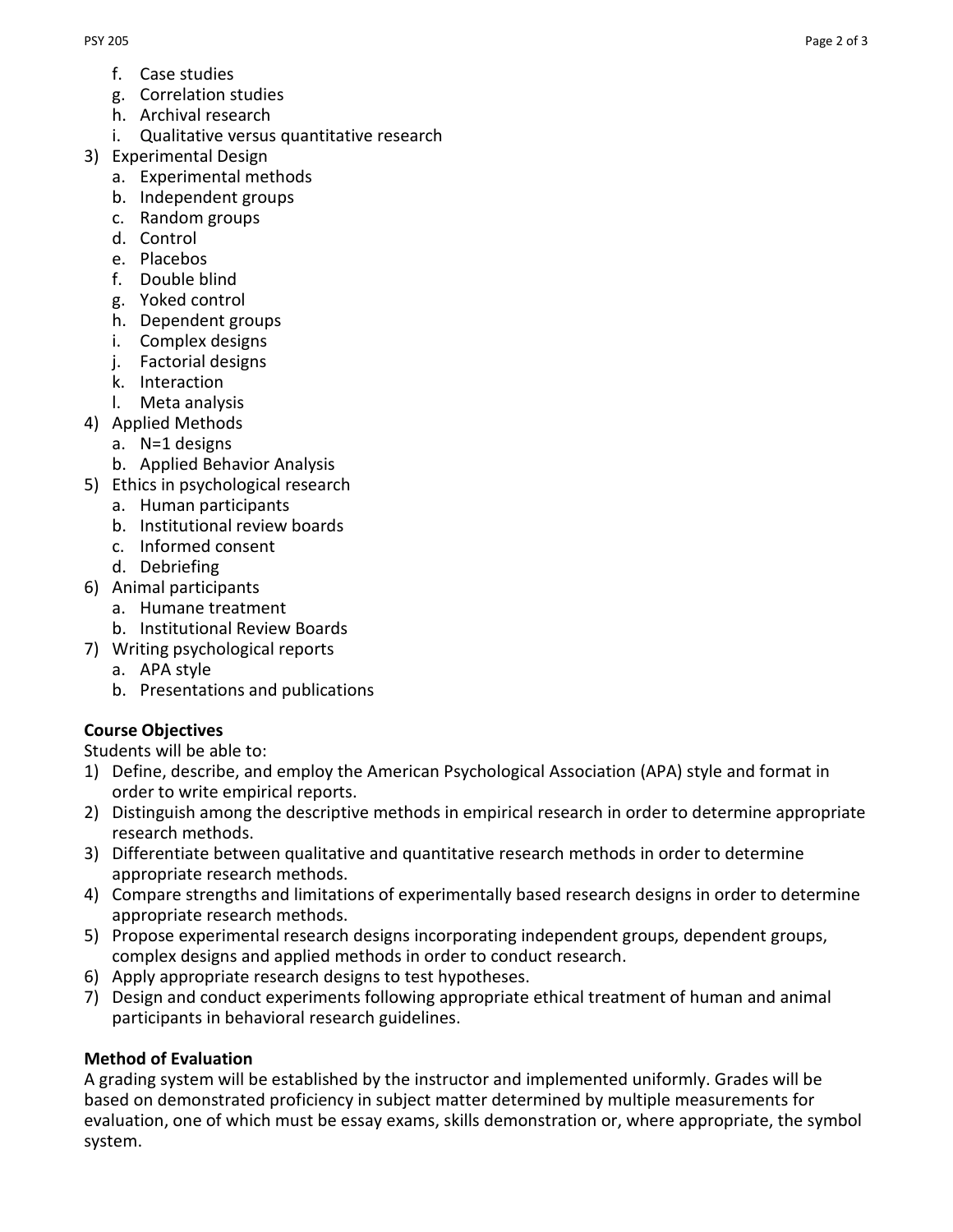- f. Case studies
- g. Correlation studies
- h. Archival research
- i. Qualitative versus quantitative research
- 3) Experimental Design
	- a. Experimental methods
	- b. Independent groups
	- c. Random groups
	- d. Control
	- e. Placebos
	- f. Double blind
	- g. Yoked control
	- h. Dependent groups
	- i. Complex designs
	- j. Factorial designs
	- k. Interaction
	- l. Meta analysis
- 4) Applied Methods
	- a. N=1 designs
	- b. Applied Behavior Analysis
- 5) Ethics in psychological research
	- a. Human participants
	- b. Institutional review boards
	- c. Informed consent
	- d. Debriefing
- 6) Animal participants
	- a. Humane treatment
	- b. Institutional Review Boards
- 7) Writing psychological reports
	- a. APA style
	- b. Presentations and publications

# **Course Objectives**

Students will be able to:

- 1) Define, describe, and employ the American Psychological Association (APA) style and format in order to write empirical reports.
- 2) Distinguish among the descriptive methods in empirical research in order to determine appropriate research methods.
- 3) Differentiate between qualitative and quantitative research methods in order to determine appropriate research methods.
- 4) Compare strengths and limitations of experimentally based research designs in order to determine appropriate research methods.
- 5) Propose experimental research designs incorporating independent groups, dependent groups, complex designs and applied methods in order to conduct research.
- 6) Apply appropriate research designs to test hypotheses.
- 7) Design and conduct experiments following appropriate ethical treatment of human and animal participants in behavioral research guidelines.

# **Method of Evaluation**

A grading system will be established by the instructor and implemented uniformly. Grades will be based on demonstrated proficiency in subject matter determined by multiple measurements for evaluation, one of which must be essay exams, skills demonstration or, where appropriate, the symbol system.